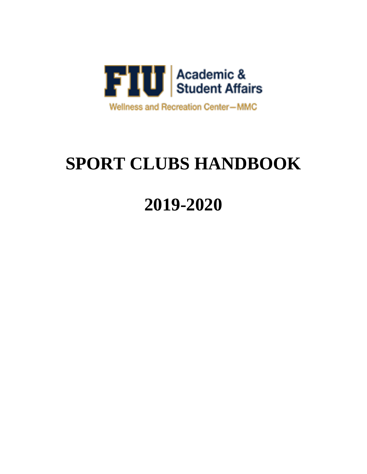

# **SPORT CLUBS HANDBOOK**

# **2019-2020**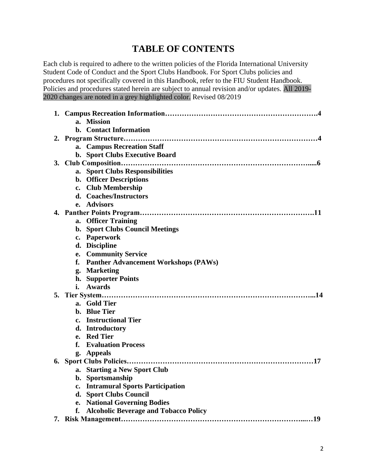## **TABLE OF CONTENTS**

Each club is required to adhere to the written policies of the Florida International University Student Code of Conduct and the Sport Clubs Handbook. For Sport Clubs policies and procedures not specifically covered in this Handbook, refer to the FIU Student Handbook. Policies and procedures stated herein are subject to annual revision and/or updates. All 2019- 2020 changes are noted in a grey highlighted color. Revised 08/2019

|    | <b>Mission</b><br>a.                               |
|----|----------------------------------------------------|
|    | b. Contact Information                             |
| 2. |                                                    |
|    | a. Campus Recreation Staff                         |
|    | b. Sport Clubs Executive Board                     |
|    |                                                    |
|    | a. Sport Clubs Responsibilities                    |
|    | <b>b.</b> Officer Descriptions                     |
|    | c. Club Membership                                 |
|    | d. Coaches/Instructors                             |
|    | e. Advisors                                        |
|    | .11                                                |
|    | a. Officer Training                                |
|    | <b>b.</b> Sport Clubs Council Meetings             |
|    | <b>Paperwork</b><br>$c_{\bullet}$                  |
|    | d. Discipline                                      |
|    | e. Community Service                               |
|    | <b>Panther Advancement Workshops (PAWs)</b><br>f.  |
|    | g. Marketing                                       |
|    | h. Supporter Points                                |
|    | <b>Awards</b><br>i.                                |
| 5. | .14                                                |
|    | a. Gold Tier                                       |
|    | <b>b.</b> Blue Tier                                |
|    | c. Instructional Tier                              |
|    | d. Introductory                                    |
|    | e. Red Tier                                        |
|    | <b>Evaluation Process</b><br>f.                    |
|    | g. Appeals                                         |
| 6. |                                                    |
|    | a. Starting a New Sport Club                       |
|    | Sportsmanship<br>b.                                |
|    | <b>Intramural Sports Participation</b><br>c.       |
|    | <b>Sport Clubs Council</b><br>d.                   |
|    | <b>National Governing Bodies</b><br>e.             |
|    | <b>Alcoholic Beverage and Tobacco Policy</b><br>f. |
|    |                                                    |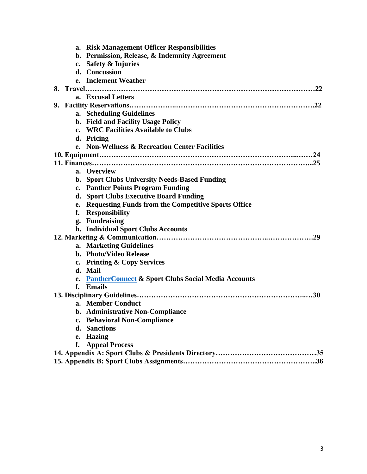|    |               | a. Risk Management Officer Responsibilities                   |
|----|---------------|---------------------------------------------------------------|
|    | b.            | <b>Permission, Release, &amp; Indemnity Agreement</b>         |
|    | c.            | <b>Safety &amp; Injuries</b>                                  |
|    |               | d. Concussion                                                 |
|    |               | e. Inclement Weather                                          |
|    |               |                                                               |
|    |               | a. Excusal Letters                                            |
| 9. |               |                                                               |
|    |               | a. Scheduling Guidelines                                      |
|    |               | b. Field and Facility Usage Policy                            |
|    |               | c. WRC Facilities Available to Clubs                          |
|    |               | d. Pricing                                                    |
|    | e.            | <b>Non-Wellness &amp; Recreation Center Facilities</b>        |
|    |               |                                                               |
|    |               |                                                               |
|    | a.            | <b>Overview</b>                                               |
|    |               | b. Sport Clubs University Needs-Based Funding                 |
|    |               | c. Panther Points Program Funding                             |
|    | d.            | <b>Sport Clubs Executive Board Funding</b>                    |
|    | e.            | <b>Requesting Funds from the Competitive Sports Office</b>    |
|    | f.            | <b>Responsibility</b>                                         |
|    |               | g. Fundraising                                                |
|    |               | h. Individual Sport Clubs Accounts                            |
|    |               | .29                                                           |
|    |               | a. Marketing Guidelines                                       |
|    |               | b. Photo/Video Release                                        |
|    |               | c. Printing & Copy Services                                   |
|    |               | d. Mail                                                       |
|    | e.            | <b>PantherConnect &amp; Sport Clubs Social Media Accounts</b> |
|    | f.            | <b>Emails</b>                                                 |
|    |               | .30                                                           |
|    |               | a. Member Conduct                                             |
|    |               | <b>b.</b> Administrative Non-Compliance                       |
|    | $c_{\bullet}$ | <b>Behavioral Non-Compliance</b>                              |
|    |               | d. Sanctions                                                  |
|    |               | e. Hazing                                                     |
|    | f.            | <b>Appeal Process</b>                                         |
|    |               |                                                               |
|    |               |                                                               |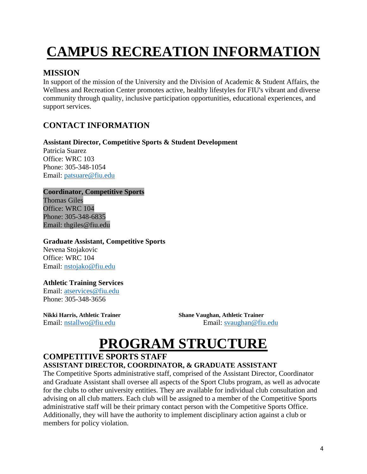# **CAMPUS RECREATION INFORMATION**

## **MISSION**

In support of the mission of the University and the Division of Academic & Student Affairs, the Wellness and Recreation Center promotes active, healthy lifestyles for FIU's vibrant and diverse community through quality, inclusive participation opportunities, educational experiences, and support services.

## **CONTACT INFORMATION**

#### **Assistant Director, Competitive Sports & Student Development**  Patricia Suarez Office: WRC 103 Phone: 305-348-1054 Email: [patsuare@fiu.edu](mailto:patsuare@fiu.edu)

#### **Coordinator, Competitive Sports**

Thomas Giles Office: WRC 104 Phone: 305-348-6835 Email: thgiles@fiu.edu

#### **Graduate Assistant, Competitive Sports**

Nevena Stojakovic Office: WRC 104 Email: [nstojako@fiu.edu](mailto:nstoj001@fiu.edu)

## **Athletic Training Services**

Email: [atservices@fiu.edu](mailto:atservices@fiu.edu) Phone: 305-348-3656

**Nikki Harris, Athletic Trainer Shane Vaughan, Athletic Trainer**  Email: [nstallwo@fiu.edu](mailto:nstallwo@fiu.edu) Email: [svaughan@fiu.edu](mailto:svaughan@fiu.edu) 

## **PROGRAM STRUCTURE**

#### **COMPETITIVE SPORTS STAFF ASSISTANT DIRECTOR, COORDINATOR, & GRADUATE ASSISTANT**

The Competitive Sports administrative staff, comprised of the Assistant Director, Coordinator and Graduate Assistant shall oversee all aspects of the Sport Clubs program, as well as advocate for the clubs to other university entities. They are available for individual club consultation and advising on all club matters. Each club will be assigned to a member of the Competitive Sports administrative staff will be their primary contact person with the Competitive Sports Office. Additionally, they will have the authority to implement disciplinary action against a club or members for policy violation.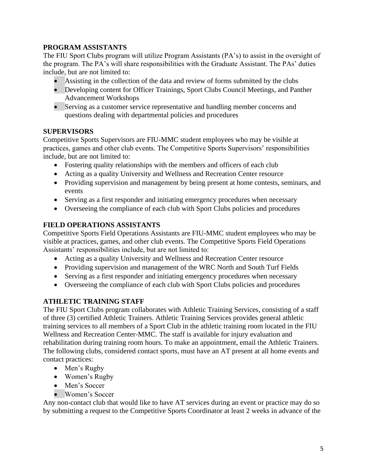#### **PROGRAM ASSISTANTS**

The FIU Sport Clubs program will utilize Program Assistants (PA's) to assist in the oversight of the program. The PA's will share responsibilities with the Graduate Assistant. The PAs' duties include, but are not limited to:

- Assisting in the collection of the data and review of forms submitted by the clubs
- Developing content for Officer Trainings, Sport Clubs Council Meetings, and Panther Advancement Workshops
- Serving as a customer service representative and handling member concerns and questions dealing with departmental policies and procedures

#### **SUPERVISORS**

Competitive Sports Supervisors are FIU-MMC student employees who may be visible at practices, games and other club events. The Competitive Sports Supervisors' responsibilities include, but are not limited to:

- Fostering quality relationships with the members and officers of each club
- Acting as a quality University and Wellness and Recreation Center resource
- Providing supervision and management by being present at home contests, seminars, and events
- Serving as a first responder and initiating emergency procedures when necessary
- Overseeing the compliance of each club with Sport Clubs policies and procedures

#### **FIELD OPERATIONS ASSISTANTS**

Competitive Sports Field Operations Assistants are FIU-MMC student employees who may be visible at practices, games, and other club events. The Competitive Sports Field Operations Assistants' responsibilities include, but are not limited to:

- Acting as a quality University and Wellness and Recreation Center resource
- Providing supervision and management of the WRC North and South Turf Fields
- Serving as a first responder and initiating emergency procedures when necessary
- Overseeing the compliance of each club with Sport Clubs policies and procedures

#### **ATHLETIC TRAINING STAFF**

The FIU Sport Clubs program collaborates with Athletic Training Services, consisting of a staff of three (3) certified Athletic Trainers. Athletic Training Services provides general athletic training services to all members of a Sport Club in the athletic training room located in the FIU Wellness and Recreation Center-MMC. The staff is available for injury evaluation and rehabilitation during training room hours. To make an appointment, email the Athletic Trainers. The following clubs, considered contact sports, must have an AT present at all home events and contact practices:

- Men's Rugby
- Women's Rugby
- Men's Soccer
- Women's Soccer

Any non-contact club that would like to have AT services during an event or practice may do so by submitting a request to the Competitive Sports Coordinator at least 2 weeks in advance of the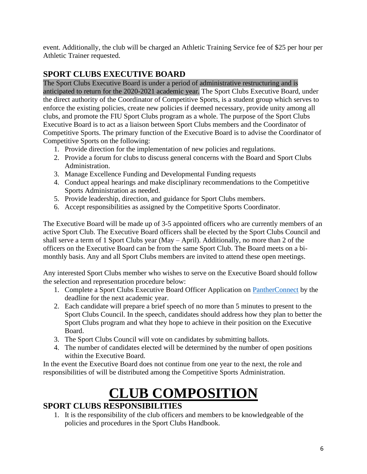event. Additionally, the club will be charged an Athletic Training Service fee of \$25 per hour per Athletic Trainer requested.

## **SPORT CLUBS EXECUTIVE BOARD**

The Sport Clubs Executive Board is under a period of administrative restructuring and is anticipated to return for the 2020-2021 academic year. The Sport Clubs Executive Board, under the direct authority of the Coordinator of Competitive Sports, is a student group which serves to enforce the existing policies, create new policies if deemed necessary, provide unity among all clubs, and promote the FIU Sport Clubs program as a whole. The purpose of the Sport Clubs Executive Board is to act as a liaison between Sport Clubs members and the Coordinator of Competitive Sports. The primary function of the Executive Board is to advise the Coordinator of Competitive Sports on the following:

- 1. Provide direction for the implementation of new policies and regulations.
- 2. Provide a forum for clubs to discuss general concerns with the Board and Sport Clubs Administration.
- 3. Manage Excellence Funding and Developmental Funding requests
- 4. Conduct appeal hearings and make disciplinary recommendations to the Competitive Sports Administration as needed.
- 5. Provide leadership, direction, and guidance for Sport Clubs members.
- 6. Accept responsibilities as assigned by the Competitive Sports Coordinator.

The Executive Board will be made up of 3-5 appointed officers who are currently members of an active Sport Club. The Executive Board officers shall be elected by the Sport Clubs Council and shall serve a term of 1 Sport Clubs year (May – April). Additionally, no more than 2 of the officers on the Executive Board can be from the same Sport Club. The Board meets on a bimonthly basis. Any and all Sport Clubs members are invited to attend these open meetings.

Any interested Sport Clubs member who wishes to serve on the Executive Board should follow the selection and representation procedure below:

- 1. Complete a Sport Clubs Executive Board Officer Application on [PantherConnect](https://fiu.campuslabs.com/engage/) by the deadline for the next academic year.
- 2. Each candidate will prepare a brief speech of no more than 5 minutes to present to the Sport Clubs Council. In the speech, candidates should address how they plan to better the Sport Clubs program and what they hope to achieve in their position on the Executive Board.
- 3. The Sport Clubs Council will vote on candidates by submitting ballots.
- 4. The number of candidates elected will be determined by the number of open positions within the Executive Board.

In the event the Executive Board does not continue from one year to the next, the role and responsibilities of will be distributed among the Competitive Sports Administration.

# **CLUB COMPOSITION**

## **SPORT CLUBS RESPONSIBILITIES**

1. It is the responsibility of the club officers and members to be knowledgeable of the policies and procedures in the Sport Clubs Handbook.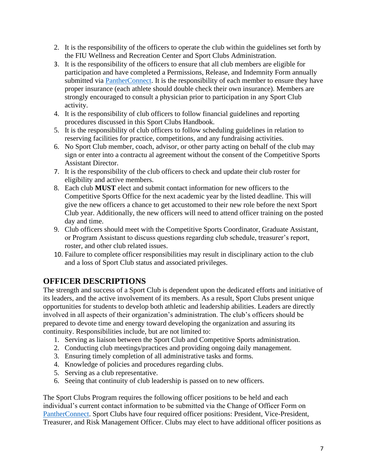- 2. It is the responsibility of the officers to operate the club within the guidelines set forth by the FIU Wellness and Recreation Center and Sport Clubs Administration.
- 3. It is the responsibility of the officers to ensure that all club members are eligible for participation and have completed a Permissions, Release, and Indemnity Form annually submitted via [PantherConnect.](https://fiu.campuslabs.com/engage/) It is the responsibility of each member to ensure they have proper insurance (each athlete should double check their own insurance). Members are strongly encouraged to consult a physician prior to participation in any Sport Club activity.
- 4. It is the responsibility of club officers to follow financial guidelines and reporting procedures discussed in this Sport Clubs Handbook.
- 5. It is the responsibility of club officers to follow scheduling guidelines in relation to reserving facilities for practice, competitions, and any fundraising activities.
- 6. No Sport Club member, coach, advisor, or other party acting on behalf of the club may sign or enter into a contractu al agreement without the consent of the Competitive Sports Assistant Director.
- 7. It is the responsibility of the club officers to check and update their club roster for eligibility and active members.
- 8. Each club **MUST** elect and submit contact information for new officers to the Competitive Sports Office for the next academic year by the listed deadline. This will give the new officers a chance to get accustomed to their new role before the next Sport Club year. Additionally, the new officers will need to attend officer training on the posted day and time.
- 9. Club officers should meet with the Competitive Sports Coordinator, Graduate Assistant, or Program Assistant to discuss questions regarding club schedule, treasurer's report, roster, and other club related issues.
- 10. Failure to complete officer responsibilities may result in disciplinary action to the club and a loss of Sport Club status and associated privileges.

## **OFFICER DESCRIPTIONS**

The strength and success of a Sport Club is dependent upon the dedicated efforts and initiative of its leaders, and the active involvement of its members. As a result, Sport Clubs present unique opportunities for students to develop both athletic and leadership abilities. Leaders are directly involved in all aspects of their organization's administration. The club's officers should be prepared to devote time and energy toward developing the organization and assuring its continuity. Responsibilities include, but are not limited to:

- 1. Serving as liaison between the Sport Club and Competitive Sports administration.
- 2. Conducting club meetings/practices and providing ongoing daily management.
- 3. Ensuring timely completion of all administrative tasks and forms.
- 4. Knowledge of policies and procedures regarding clubs.
- 5. Serving as a club representative.
- 6. Seeing that continuity of club leadership is passed on to new officers.

The Sport Clubs Program requires the following officer positions to be held and each individual's current contact information to be submitted via the Change of Officer Form on [PantherConnect.](https://fiu.campuslabs.com/engage/) Sport Clubs have four required officer positions: President, Vice-President, Treasurer, and Risk Management Officer. Clubs may elect to have additional officer positions as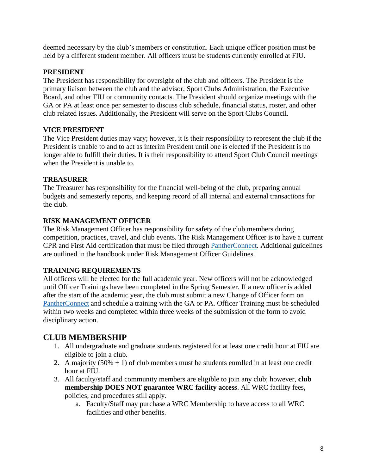deemed necessary by the club's members or constitution. Each unique officer position must be held by a different student member. All officers must be students currently enrolled at FIU.

#### **PRESIDENT**

The President has responsibility for oversight of the club and officers. The President is the primary liaison between the club and the advisor, Sport Clubs Administration, the Executive Board, and other FIU or community contacts. The President should organize meetings with the GA or PA at least once per semester to discuss club schedule, financial status, roster, and other club related issues. Additionally, the President will serve on the Sport Clubs Council.

#### **VICE PRESIDENT**

The Vice President duties may vary; however, it is their responsibility to represent the club if the President is unable to and to act as interim President until one is elected if the President is no longer able to fulfill their duties. It is their responsibility to attend Sport Club Council meetings when the President is unable to.

#### **TREASURER**

The Treasurer has responsibility for the financial well-being of the club, preparing annual budgets and semesterly reports, and keeping record of all internal and external transactions for the club.

#### **RISK MANAGEMENT OFFICER**

The Risk Management Officer has responsibility for safety of the club members during competition, practices, travel, and club events. The Risk Management Officer is to have a current CPR and First Aid certification that must be filed through [PantherConnect.](https://fiu.campuslabs.com/engage/) Additional guidelines are outlined in the handbook under Risk Management Officer Guidelines.

#### **TRAINING REQUIREMENTS**

All officers will be elected for the full academic year. New officers will not be acknowledged until Officer Trainings have been completed in the Spring Semester. If a new officer is added after the start of the academic year, the club must submit a new Change of Officer form on [PantherConnect](https://fiu.campuslabs.com/engage/) and schedule a training with the GA or PA. Officer Training must be scheduled within two weeks and completed within three weeks of the submission of the form to avoid disciplinary action.

## **CLUB MEMBERSHIP**

- 1. All undergraduate and graduate students registered for at least one credit hour at FIU are eligible to join a club.
- 2. A majority  $(50\% + 1)$  of club members must be students enrolled in at least one credit hour at FIU.
- 3. All faculty/staff and community members are eligible to join any club; however, **club membership DOES NOT guarantee WRC facility access**. All WRC facility fees, policies, and procedures still apply.
	- a. Faculty/Staff may purchase a WRC Membership to have access to all WRC facilities and other benefits.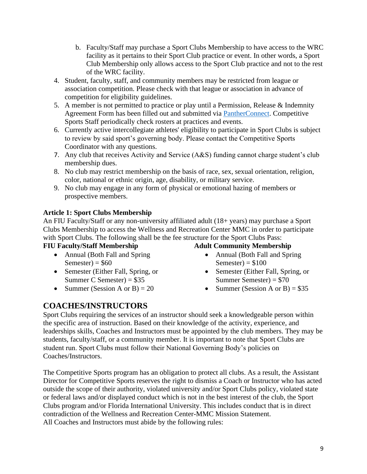- b. Faculty/Staff may purchase a Sport Clubs Membership to have access to the WRC facility as it pertains to their Sport Club practice or event. In other words, a Sport Club Membership only allows access to the Sport Club practice and not to the rest of the WRC facility.
- 4. Student, faculty, staff, and community members may be restricted from league or association competition. Please check with that league or association in advance of competition for eligibility guidelines.
- 5. A member is not permitted to practice or play until a Permission, Release & Indemnity Agreement Form has been filled out and submitted via [PantherConnect.](https://fiu.campuslabs.com/engage/) Competitive Sports Staff periodically check rosters at practices and events.
- 6. Currently active intercollegiate athletes' eligibility to participate in Sport Clubs is subject to review by said sport's governing body. Please contact the Competitive Sports Coordinator with any questions.
- 7. Any club that receives Activity and Service (A&S) funding cannot charge student's club membership dues.
- 8. No club may restrict membership on the basis of race, sex, sexual orientation, religion, color, national or ethnic origin, age, disability, or military service.
- 9. No club may engage in any form of physical or emotional hazing of members or prospective members.

## **Article 1: Sport Clubs Membership**

An FIU Faculty/Staff or any non-university affiliated adult (18+ years) may purchase a Sport Clubs Membership to access the Wellness and Recreation Center MMC in order to participate with Sport Clubs. The following shall be the fee structure for the Sport Clubs Pass:

#### **FIU Faculty/Staff Membership**

- Annual (Both Fall and Spring)  $Semester$ ) = \$60
- Semester (Either Fall, Spring, or Summer C Semester) =  $$35$
- Summer (Session A or B) =  $20$

#### **Adult Community Membership**

- Annual (Both Fall and Spring)  $Semester$ ) = \$100
- Semester (Either Fall, Spring, or Summer Semester) = \$70
- Summer (Session A or B) =  $$35$

## **COACHES/INSTRUCTORS**

Sport Clubs requiring the services of an instructor should seek a knowledgeable person within the specific area of instruction. Based on their knowledge of the activity, experience, and leaderships skills, Coaches and Instructors must be appointed by the club members. They may be students, faculty/staff, or a community member. It is important to note that Sport Clubs are student run. Sport Clubs must follow their National Governing Body's policies on Coaches/Instructors.

The Competitive Sports program has an obligation to protect all clubs. As a result, the Assistant Director for Competitive Sports reserves the right to dismiss a Coach or Instructor who has acted outside the scope of their authority, violated university and/or Sport Clubs policy, violated state or federal laws and/or displayed conduct which is not in the best interest of the club, the Sport Clubs program and/or Florida International University. This includes conduct that is in direct contradiction of the Wellness and Recreation Center-MMC Mission Statement. All Coaches and Instructors must abide by the following rules: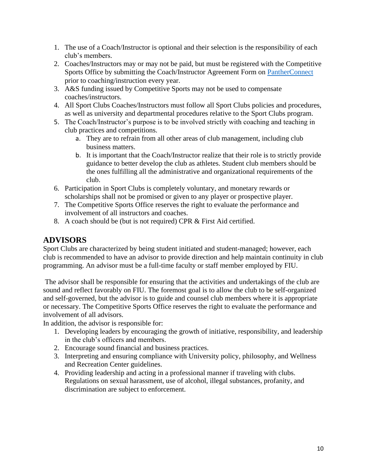- 1. The use of a Coach/Instructor is optional and their selection is the responsibility of each club's members.
- 2. Coaches/Instructors may or may not be paid, but must be registered with the Competitive Sports Office by submitting the Coach/Instructor Agreement Form on [PantherConnect](https://fiu.campuslabs.com/engage/) prior to coaching/instruction every year.
- 3. A&S funding issued by Competitive Sports may not be used to compensate coaches/instructors.
- 4. All Sport Clubs Coaches/Instructors must follow all Sport Clubs policies and procedures, as well as university and departmental procedures relative to the Sport Clubs program.
- 5. The Coach/Instructor's purpose is to be involved strictly with coaching and teaching in club practices and competitions.
	- a. They are to refrain from all other areas of club management, including club business matters.
	- b. It is important that the Coach/Instructor realize that their role is to strictly provide guidance to better develop the club as athletes. Student club members should be the ones fulfilling all the administrative and organizational requirements of the club.
- 6. Participation in Sport Clubs is completely voluntary, and monetary rewards or scholarships shall not be promised or given to any player or prospective player.
- 7. The Competitive Sports Office reserves the right to evaluate the performance and involvement of all instructors and coaches.
- 8. A coach should be (but is not required) CPR & First Aid certified.

## **ADVISORS**

Sport Clubs are characterized by being student initiated and student-managed; however, each club is recommended to have an advisor to provide direction and help maintain continuity in club programming. An advisor must be a full-time faculty or staff member employed by FIU.

The advisor shall be responsible for ensuring that the activities and undertakings of the club are sound and reflect favorably on FIU. The foremost goal is to allow the club to be self-organized and self-governed, but the advisor is to guide and counsel club members where it is appropriate or necessary. The Competitive Sports Office reserves the right to evaluate the performance and involvement of all advisors.

In addition, the advisor is responsible for:

- 1. Developing leaders by encouraging the growth of initiative, responsibility, and leadership in the club's officers and members.
- 2. Encourage sound financial and business practices.
- 3. Interpreting and ensuring compliance with University policy, philosophy, and Wellness and Recreation Center guidelines.
- 4. Providing leadership and acting in a professional manner if traveling with clubs. Regulations on sexual harassment, use of alcohol, illegal substances, profanity, and discrimination are subject to enforcement.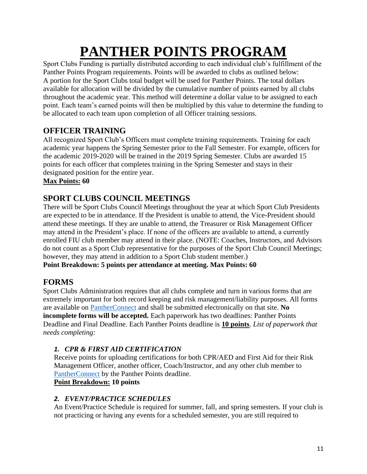# **PANTHER POINTS PROGRAM**

Sport Clubs Funding is partially distributed according to each individual club's fulfillment of the Panther Points Program requirements. Points will be awarded to clubs as outlined below: A portion for the Sport Clubs total budget will be used for Panther Points. The total dollars available for allocation will be divided by the cumulative number of points earned by all clubs throughout the academic year. This method will determine a dollar value to be assigned to each point. Each team's earned points will then be multiplied by this value to determine the funding to be allocated to each team upon completion of all Officer training sessions.

## **OFFICER TRAINING**

All recognized Sport Club's Officers must complete training requirements. Training for each academic year happens the Spring Semester prior to the Fall Semester. For example, officers for the academic 2019-2020 will be trained in the 2019 Spring Semester. Clubs are awarded 15 points for each officer that completes training in the Spring Semester and stays in their designated position for the entire year.

**Max Points: 60**

## **SPORT CLUBS COUNCIL MEETINGS**

There will be Sport Clubs Council Meetings throughout the year at which Sport Club Presidents are expected to be in attendance. If the President is unable to attend, the Vice-President should attend these meetings. If they are unable to attend, the Treasurer or Risk Management Officer may attend in the President's place. If none of the officers are available to attend, a currently enrolled FIU club member may attend in their place. (NOTE: Coaches, Instructors, and Advisors do not count as a Sport Club representative for the purposes of the Sport Club Council Meetings; however, they may attend in addition to a Sport Club student member.)

**Point Breakdown: 5 points per attendance at meeting. Max Points: 60**

## **FORMS**

Sport Clubs Administration requires that all clubs complete and turn in various forms that are extremely important for both record keeping and risk management/liability purposes. All forms are available on [PantherConnect](https://fiu.campuslabs.com/engage/) and shall be submitted electronically on that site. **No incomplete forms will be accepted.** Each paperwork has two deadlines: Panther Points Deadline and Final Deadline. Each Panther Points deadline is **10 points**. *List of paperwork that needs completing:*

## *1. CPR & FIRST AID CERTIFICATION*

Receive points for uploading certifications for both CPR/AED and First Aid for their Risk Management Officer, another officer, Coach/Instructor, and any other club member to [PantherConnect](https://fiu.campuslabs.com/engage/) by the Panther Points deadline.

## **Point Breakdown: 10 points**

## *2. EVENT/PRACTICE SCHEDULES*

An Event/Practice Schedule is required for summer, fall, and spring semesters. If your club is not practicing or having any events for a scheduled semester, you are still required to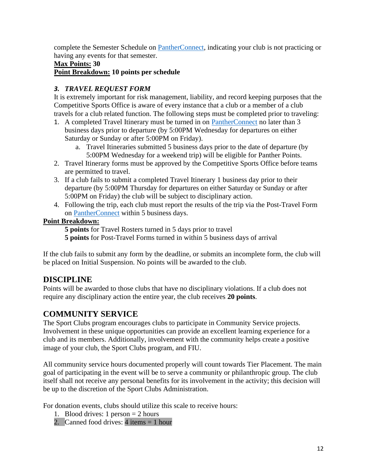complete the Semester Schedule on [PantherConnect,](https://fiu.campuslabs.com/engage/) indicating your club is not practicing or having any events for that semester.

#### **Max Points: 30**

#### **Point Breakdown: 10 points per schedule**

#### *3. TRAVEL REQUEST FORM*

It is extremely important for risk management, liability, and record keeping purposes that the Competitive Sports Office is aware of every instance that a club or a member of a club travels for a club related function. The following steps must be completed prior to traveling:

- 1. A completed Travel Itinerary must be turned in on [PantherConnect](https://fiu.campuslabs.com/engage/) no later than 3 business days prior to departure (by 5:00PM Wednesday for departures on either Saturday or Sunday or after 5:00PM on Friday).
	- a. Travel Itineraries submitted 5 business days prior to the date of departure (by 5:00PM Wednesday for a weekend trip) will be eligible for Panther Points.
- 2. Travel Itinerary forms must be approved by the Competitive Sports Office before teams are permitted to travel.
- 3. If a club fails to submit a completed Travel Itinerary 1 business day prior to their departure (by 5:00PM Thursday for departures on either Saturday or Sunday or after 5:00PM on Friday) the club will be subject to disciplinary action.
- 4. Following the trip, each club must report the results of the trip via the Post-Travel Form on [PantherConnect](https://fiu.campuslabs.com/engage/) within 5 business days.

#### **Point Breakdown:**

**5 points** for Travel Rosters turned in 5 days prior to travel

**5 points** for Post-Travel Forms turned in within 5 business days of arrival

If the club fails to submit any form by the deadline, or submits an incomplete form, the club will be placed on Initial Suspension. No points will be awarded to the club.

## **DISCIPLINE**

Points will be awarded to those clubs that have no disciplinary violations. If a club does not require any disciplinary action the entire year, the club receives **20 points**.

## **COMMUNITY SERVICE**

The Sport Clubs program encourages clubs to participate in Community Service projects. Involvement in these unique opportunities can provide an excellent learning experience for a club and its members. Additionally, involvement with the community helps create a positive image of your club, the Sport Clubs program, and FIU.

All community service hours documented properly will count towards Tier Placement. The main goal of participating in the event will be to serve a community or philanthropic group. The club itself shall not receive any personal benefits for its involvement in the activity; this decision will be up to the discretion of the Sport Clubs Administration.

For donation events, clubs should utilize this scale to receive hours:

- 1. Blood drives: 1 person  $= 2$  hours
- 2. Canned food drives: 4 items = 1 hour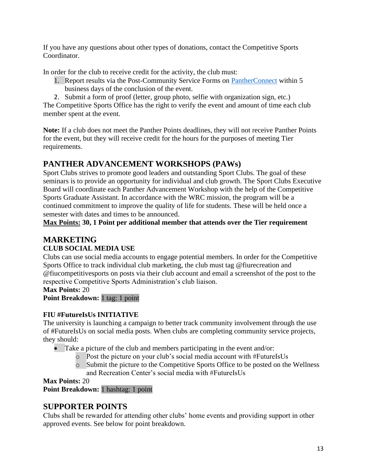If you have any questions about other types of donations, contact the Competitive Sports Coordinator.

In order for the club to receive credit for the activity, the club must:

- 1. Report results via the Post-Community Service Forms on [PantherConnect](https://fiu.campuslabs.com/engage/) within 5 business days of the conclusion of the event.
- 2. Submit a form of proof (letter, group photo, selfie with organization sign, etc.)

The Competitive Sports Office has the right to verify the event and amount of time each club member spent at the event.

**Note:** If a club does not meet the Panther Points deadlines, they will not receive Panther Points for the event, but they will receive credit for the hours for the purposes of meeting Tier requirements.

## **PANTHER ADVANCEMENT WORKSHOPS (PAWs)**

Sport Clubs strives to promote good leaders and outstanding Sport Clubs. The goal of these seminars is to provide an opportunity for individual and club growth. The Sport Clubs Executive Board will coordinate each Panther Advancement Workshop with the help of the Competitive Sports Graduate Assistant. In accordance with the WRC mission, the program will be a continued commitment to improve the quality of life for students. These will be held once a semester with dates and times to be announced.

**Max Points: 30, 1 Point per additional member that attends over the Tier requirement**

## **MARKETING**

## **CLUB SOCIAL MEDIA USE**

Clubs can use social media accounts to engage potential members. In order for the Competitive Sports Office to track individual club marketing, the club must tag @fiurecreation and @fiucompetitivesports on posts via their club account and email a screenshot of the post to the respective Competitive Sports Administration's club liaison.

#### **Max Points:** 20

**Point Breakdown:** 1 tag: 1 point

## **FIU #FutureIsUs INITIATIVE**

The university is launching a campaign to better track community involvement through the use of #FutureIsUs on social media posts. When clubs are completing community service projects, they should:

- Take a picture of the club and members participating in the event and/or:
	- o Post the picture on your club's social media account with #FutureIsUs
	- o Submit the picture to the Competitive Sports Office to be posted on the Wellness and Recreation Center's social media with #FutureIsUs

**Max Points:** 20 **Point Breakdown:** 1 hashtag: 1 point

## **SUPPORTER POINTS**

Clubs shall be rewarded for attending other clubs' home events and providing support in other approved events. See below for point breakdown.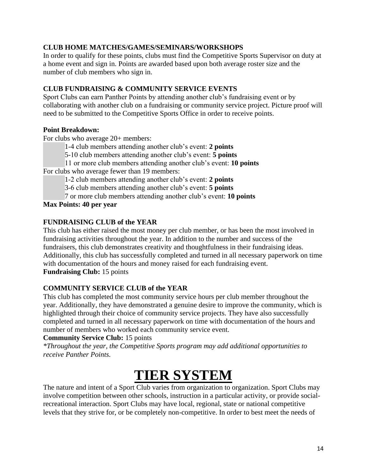#### **CLUB HOME MATCHES/GAMES/SEMINARS/WORKSHOPS**

In order to qualify for these points, clubs must find the Competitive Sports Supervisor on duty at a home event and sign in. Points are awarded based upon both average roster size and the number of club members who sign in.

#### **CLUB FUNDRAISING & COMMUNITY SERVICE EVENTS**

Sport Clubs can earn Panther Points by attending another club's fundraising event or by collaborating with another club on a fundraising or community service project. Picture proof will need to be submitted to the Competitive Sports Office in order to receive points.

#### **Point Breakdown:**

For clubs who average 20+ members:

1-4 club members attending another club's event: **2 points**

5-10 club members attending another club's event: **5 points**

11 or more club members attending another club's event: **10 points** For clubs who average fewer than 19 members:

1-2 club members attending another club's event: **2 points**

3-6 club members attending another club's event: **5 points**

7 or more club members attending another club's event: **10 points**

**Max Points: 40 per year**

## **FUNDRAISING CLUB of the YEAR**

This club has either raised the most money per club member, or has been the most involved in fundraising activities throughout the year. In addition to the number and success of the fundraisers, this club demonstrates creativity and thoughtfulness in their fundraising ideas. Additionally, this club has successfully completed and turned in all necessary paperwork on time with documentation of the hours and money raised for each fundraising event. **Fundraising Club:** 15 points

## **COMMUNITY SERVICE CLUB of the YEAR**

This club has completed the most community service hours per club member throughout the year. Additionally, they have demonstrated a genuine desire to improve the community, which is highlighted through their choice of community service projects. They have also successfully completed and turned in all necessary paperwork on time with documentation of the hours and number of members who worked each community service event.

#### **Community Service Club:** 15 points

*\*Throughout the year, the Competitive Sports program may add additional opportunities to receive Panther Points.*

## **TIER SYSTEM**

The nature and intent of a Sport Club varies from organization to organization. Sport Clubs may involve competition between other schools, instruction in a particular activity, or provide socialrecreational interaction. Sport Clubs may have local, regional, state or national competitive levels that they strive for, or be completely non-competitive. In order to best meet the needs of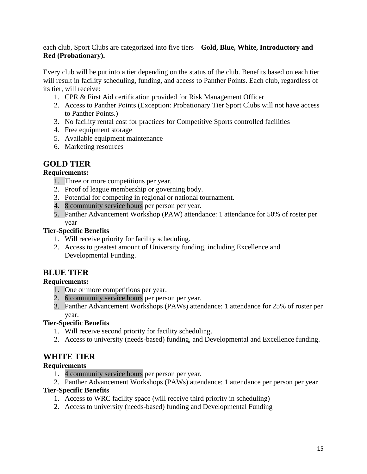each club, Sport Clubs are categorized into five tiers – **Gold, Blue, White, Introductory and Red (Probationary).**

Every club will be put into a tier depending on the status of the club. Benefits based on each tier will result in facility scheduling, funding, and access to Panther Points. Each club, regardless of its tier, will receive:

- 1. CPR & First Aid certification provided for Risk Management Officer
- 2. Access to Panther Points (Exception: Probationary Tier Sport Clubs will not have access to Panther Points.)
- 3. No facility rental cost for practices for Competitive Sports controlled facilities
- 4. Free equipment storage
- 5. Available equipment maintenance
- 6. Marketing resources

## **GOLD TIER**

#### **Requirements:**

- 1. Three or more competitions per year.
- 2. Proof of league membership or governing body.
- 3. Potential for competing in regional or national tournament.
- 4. 8 community service hours per person per year.
- 5. Panther Advancement Workshop (PAW) attendance: 1 attendance for 50% of roster per year

#### **Tier-Specific Benefits**

- 1. Will receive priority for facility scheduling.
- 2. Access to greatest amount of University funding, including Excellence and Developmental Funding.

## **BLUE TIER**

#### **Requirements:**

- 1. One or more competitions per year.
- 2. 6 community service hours per person per year.
- 3. Panther Advancement Workshops (PAWs) attendance: 1 attendance for 25% of roster per year.

## **Tier-Specific Benefits**

- 1. Will receive second priority for facility scheduling.
- 2. Access to university (needs-based) funding, and Developmental and Excellence funding.

## **WHITE TIER**

## **Requirements**

1. 4 community service hours per person per year.

2. Panther Advancement Workshops (PAWs) attendance: 1 attendance per person per year

#### **Tier-Specific Benefits**

- 1. Access to WRC facility space (will receive third priority in scheduling)
- 2. Access to university (needs-based) funding and Developmental Funding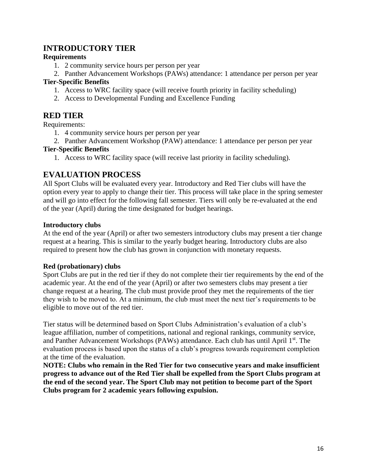## **INTRODUCTORY TIER**

#### **Requirements**

- 1. 2 community service hours per person per year
- 2. Panther Advancement Workshops (PAWs) attendance: 1 attendance per person per year

#### **Tier-Specific Benefits**

- 1. Access to WRC facility space (will receive fourth priority in facility scheduling)
- 2. Access to Developmental Funding and Excellence Funding

## **RED TIER**

Requirements:

- 1. 4 community service hours per person per year
- 2. Panther Advancement Workshop (PAW) attendance: 1 attendance per person per year **Tier-Specific Benefits**
	- 1. Access to WRC facility space (will receive last priority in facility scheduling).

## **EVALUATION PROCESS**

All Sport Clubs will be evaluated every year. Introductory and Red Tier clubs will have the option every year to apply to change their tier. This process will take place in the spring semester and will go into effect for the following fall semester. Tiers will only be re-evaluated at the end of the year (April) during the time designated for budget hearings.

#### **Introductory clubs**

At the end of the year (April) or after two semesters introductory clubs may present a tier change request at a hearing. This is similar to the yearly budget hearing. Introductory clubs are also required to present how the club has grown in conjunction with monetary requests.

#### **Red (probationary) clubs**

Sport Clubs are put in the red tier if they do not complete their tier requirements by the end of the academic year. At the end of the year (April) or after two semesters clubs may present a tier change request at a hearing. The club must provide proof they met the requirements of the tier they wish to be moved to. At a minimum, the club must meet the next tier's requirements to be eligible to move out of the red tier.

Tier status will be determined based on Sport Clubs Administration's evaluation of a club's league affiliation, number of competitions, national and regional rankings, community service, and Panther Advancement Workshops (PAWs) attendance. Each club has until April 1<sup>st</sup>. The evaluation process is based upon the status of a club's progress towards requirement completion at the time of the evaluation.

**NOTE: Clubs who remain in the Red Tier for two consecutive years and make insufficient progress to advance out of the Red Tier shall be expelled from the Sport Clubs program at the end of the second year. The Sport Club may not petition to become part of the Sport Clubs program for 2 academic years following expulsion.**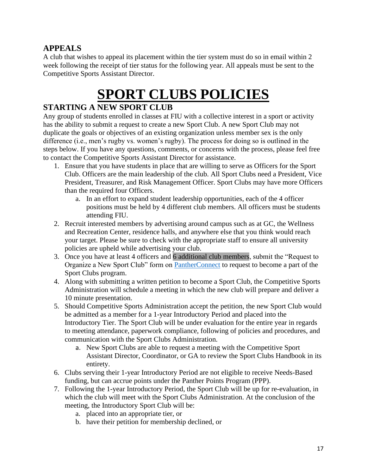## **APPEALS**

A club that wishes to appeal its placement within the tier system must do so in email within 2 week following the receipt of tier status for the following year. All appeals must be sent to the Competitive Sports Assistant Director.

# **SPORT CLUBS POLICIES**

## **STARTING A NEW SPORT CLUB**

Any group of students enrolled in classes at FIU with a collective interest in a sport or activity has the ability to submit a request to create a new Sport Club. A new Sport Club may not duplicate the goals or objectives of an existing organization unless member sex is the only difference (i.e., men's rugby vs. women's rugby). The process for doing so is outlined in the steps below. If you have any questions, comments, or concerns with the process, please feel free to contact the Competitive Sports Assistant Director for assistance.

- 1. Ensure that you have students in place that are willing to serve as Officers for the Sport Club. Officers are the main leadership of the club. All Sport Clubs need a President, Vice President, Treasurer, and Risk Management Officer. Sport Clubs may have more Officers than the required four Officers.
	- a. In an effort to expand student leadership opportunities, each of the 4 officer positions must be held by 4 different club members. All officers must be students attending FIU.
- 2. Recruit interested members by advertising around campus such as at GC, the Wellness and Recreation Center, residence halls, and anywhere else that you think would reach your target. Please be sure to check with the appropriate staff to ensure all university policies are upheld while advertising your club.
- 3. Once you have at least 4 officers and 6 additional club members, submit the "Request to Organize a New Sport Club" form on [PantherConnect](https://fiu.campuslabs.com/engage/) to request to become a part of the Sport Clubs program.
- 4. Along with submitting a written petition to become a Sport Club, the Competitive Sports Administration will schedule a meeting in which the new club will prepare and deliver a 10 minute presentation.
- 5. Should Competitive Sports Administration accept the petition, the new Sport Club would be admitted as a member for a 1-year Introductory Period and placed into the Introductory Tier. The Sport Club will be under evaluation for the entire year in regards to meeting attendance, paperwork compliance, following of policies and procedures, and communication with the Sport Clubs Administration.
	- a. New Sport Clubs are able to request a meeting with the Competitive Sport Assistant Director, Coordinator, or GA to review the Sport Clubs Handbook in its entirety.
- 6. Clubs serving their 1-year Introductory Period are not eligible to receive Needs-Based funding, but can accrue points under the Panther Points Program (PPP).
- 7. Following the 1-year Introductory Period, the Sport Club will be up for re-evaluation, in which the club will meet with the Sport Clubs Administration. At the conclusion of the meeting, the Introductory Sport Club will be:
	- a. placed into an appropriate tier, or
	- b. have their petition for membership declined, or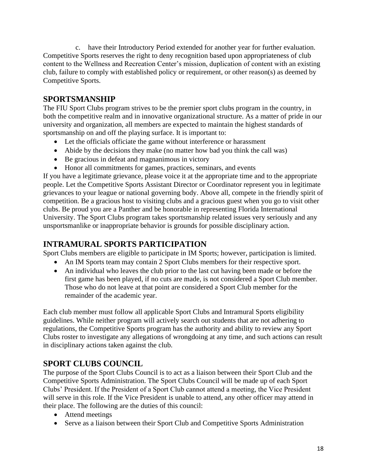c. have their Introductory Period extended for another year for further evaluation. Competitive Sports reserves the right to deny recognition based upon appropriateness of club content to the Wellness and Recreation Center's mission, duplication of content with an existing club, failure to comply with established policy or requirement, or other reason(s) as deemed by Competitive Sports.

## **SPORTSMANSHIP**

The FIU Sport Clubs program strives to be the premier sport clubs program in the country, in both the competitive realm and in innovative organizational structure. As a matter of pride in our university and organization, all members are expected to maintain the highest standards of sportsmanship on and off the playing surface. It is important to:

- Let the officials officiate the game without interference or harassment
- Abide by the decisions they make (no matter how bad you think the call was)
- Be gracious in defeat and magnanimous in victory
- Honor all commitments for games, practices, seminars, and events

If you have a legitimate grievance, please voice it at the appropriate time and to the appropriate people. Let the Competitive Sports Assistant Director or Coordinator represent you in legitimate grievances to your league or national governing body. Above all, compete in the friendly spirit of competition. Be a gracious host to visiting clubs and a gracious guest when you go to visit other clubs. Be proud you are a Panther and be honorable in representing Florida International University. The Sport Clubs program takes sportsmanship related issues very seriously and any unsportsmanlike or inappropriate behavior is grounds for possible disciplinary action.

## **INTRAMURAL SPORTS PARTICIPATION**

Sport Clubs members are eligible to participate in IM Sports; however, participation is limited.

- An IM Sports team may contain 2 Sport Clubs members for their respective sport.
- An individual who leaves the club prior to the last cut having been made or before the first game has been played, if no cuts are made, is not considered a Sport Club member. Those who do not leave at that point are considered a Sport Club member for the remainder of the academic year.

Each club member must follow all applicable Sport Clubs and Intramural Sports eligibility guidelines. While neither program will actively search out students that are not adhering to regulations, the Competitive Sports program has the authority and ability to review any Sport Clubs roster to investigate any allegations of wrongdoing at any time, and such actions can result in disciplinary actions taken against the club.

## **SPORT CLUBS COUNCIL**

The purpose of the Sport Clubs Council is to act as a liaison between their Sport Club and the Competitive Sports Administration. The Sport Clubs Council will be made up of each Sport Clubs' President. If the President of a Sport Club cannot attend a meeting, the Vice President will serve in this role. If the Vice President is unable to attend, any other officer may attend in their place. The following are the duties of this council:

- Attend meetings
- Serve as a liaison between their Sport Club and Competitive Sports Administration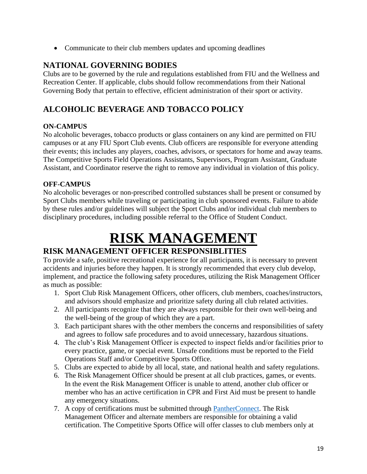• Communicate to their club members updates and upcoming deadlines

## **NATIONAL GOVERNING BODIES**

Clubs are to be governed by the rule and regulations established from FIU and the Wellness and Recreation Center. If applicable, clubs should follow recommendations from their National Governing Body that pertain to effective, efficient administration of their sport or activity.

## **ALCOHOLIC BEVERAGE AND TOBACCO POLICY**

## **ON-CAMPUS**

No alcoholic beverages, tobacco products or glass containers on any kind are permitted on FIU campuses or at any FIU Sport Club events. Club officers are responsible for everyone attending their events; this includes any players, coaches, advisors, or spectators for home and away teams. The Competitive Sports Field Operations Assistants, Supervisors, Program Assistant, Graduate Assistant, and Coordinator reserve the right to remove any individual in violation of this policy.

#### **OFF-CAMPUS**

No alcoholic beverages or non-prescribed controlled substances shall be present or consumed by Sport Clubs members while traveling or participating in club sponsored events. Failure to abide by these rules and/or guidelines will subject the Sport Clubs and/or individual club members to disciplinary procedures, including possible referral to the Office of Student Conduct.

# **RISK MANAGEMENT**

## **RISK MANAGEMENT OFFICER RESPONSIBLITIES**

To provide a safe, positive recreational experience for all participants, it is necessary to prevent accidents and injuries before they happen. It is strongly recommended that every club develop, implement, and practice the following safety procedures, utilizing the Risk Management Officer as much as possible:

- 1. Sport Club Risk Management Officers, other officers, club members, coaches/instructors, and advisors should emphasize and prioritize safety during all club related activities.
- 2. All participants recognize that they are always responsible for their own well-being and the well-being of the group of which they are a part.
- 3. Each participant shares with the other members the concerns and responsibilities of safety and agrees to follow safe procedures and to avoid unnecessary, hazardous situations.
- 4. The club's Risk Management Officer is expected to inspect fields and/or facilities prior to every practice, game, or special event. Unsafe conditions must be reported to the Field Operations Staff and/or Competitive Sports Office.
- 5. Clubs are expected to abide by all local, state, and national health and safety regulations.
- 6. The Risk Management Officer should be present at all club practices, games, or events. In the event the Risk Management Officer is unable to attend, another club officer or member who has an active certification in CPR and First Aid must be present to handle any emergency situations.
- 7. A copy of certifications must be submitted through [PantherConnect.](https://fiu.campuslabs.com/engage/) The Risk Management Officer and alternate members are responsible for obtaining a valid certification. The Competitive Sports Office will offer classes to club members only at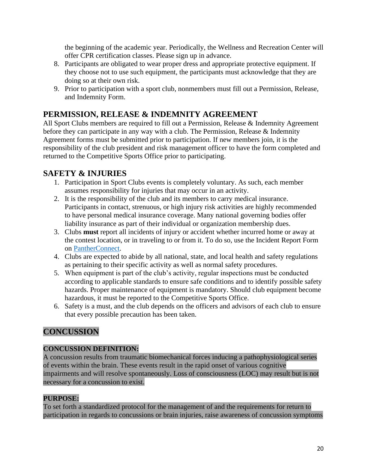the beginning of the academic year. Periodically, the Wellness and Recreation Center will offer CPR certification classes. Please sign up in advance.

- 8. Participants are obligated to wear proper dress and appropriate protective equipment. If they choose not to use such equipment, the participants must acknowledge that they are doing so at their own risk.
- 9. Prior to participation with a sport club, nonmembers must fill out a Permission, Release, and Indemnity Form.

## **PERMISSION, RELEASE & INDEMNITY AGREEMENT**

All Sport Clubs members are required to fill out a Permission, Release & Indemnity Agreement before they can participate in any way with a club. The Permission, Release & Indemnity Agreement forms must be submitted prior to participation. If new members join, it is the responsibility of the club president and risk management officer to have the form completed and returned to the Competitive Sports Office prior to participating.

## **SAFETY & INJURIES**

- 1. Participation in Sport Clubs events is completely voluntary. As such, each member assumes responsibility for injuries that may occur in an activity.
- 2. It is the responsibility of the club and its members to carry medical insurance. Participants in contact, strenuous, or high injury risk activities are highly recommended to have personal medical insurance coverage. Many national governing bodies offer liability insurance as part of their individual or organization membership dues.
- 3. Clubs **must** report all incidents of injury or accident whether incurred home or away at the contest location, or in traveling to or from it. To do so, use the Incident Report Form on [PantherConnect.](https://fiu.campuslabs.com/engage/)
- 4. Clubs are expected to abide by all national, state, and local health and safety regulations as pertaining to their specific activity as well as normal safety procedures.
- 5. When equipment is part of the club's activity, regular inspections must be conducted according to applicable standards to ensure safe conditions and to identify possible safety hazards. Proper maintenance of equipment is mandatory. Should club equipment become hazardous, it must be reported to the Competitive Sports Office.
- 6. Safety is a must, and the club depends on the officers and advisors of each club to ensure that every possible precaution has been taken.

## **CONCUSSION**

## **CONCUSSION DEFINITION:**

A concussion results from traumatic biomechanical forces inducing a pathophysiological series of events within the brain. These events result in the rapid onset of various cognitive impairments and will resolve spontaneously. Loss of consciousness (LOC) may result but is not necessary for a concussion to exist.

## **PURPOSE:**

To set forth a standardized protocol for the management of and the requirements for return to participation in regards to concussions or brain injuries, raise awareness of concussion symptoms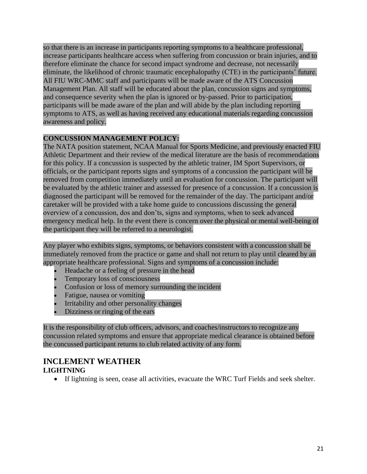so that there is an increase in participants reporting symptoms to a healthcare professional, increase participants healthcare access when suffering from concussion or brain injuries, and to therefore eliminate the chance for second impact syndrome and decrease, not necessarily eliminate, the likelihood of chronic traumatic encephalopathy (CTE) in the participants' future. All FIU WRC-MMC staff and participants will be made aware of the ATS Concussion Management Plan. All staff will be educated about the plan, concussion signs and symptoms, and consequence severity when the plan is ignored or by-passed. Prior to participation, participants will be made aware of the plan and will abide by the plan including reporting symptoms to ATS, as well as having received any educational materials regarding concussion awareness and policy.

## **CONCUSSION MANAGEMENT POLICY:**

The NATA position statement, NCAA Manual for Sports Medicine, and previously enacted FIU Athletic Department and their review of the medical literature are the basis of recommendations for this policy. If a concussion is suspected by the athletic trainer, IM Sport Supervisors, or officials, or the participant reports signs and symptoms of a concussion the participant will be removed from competition immediately until an evaluation for concussion. The participant will be evaluated by the athletic trainer and assessed for presence of a concussion. If a concussion is diagnosed the participant will be removed for the remainder of the day. The participant and/or caretaker will be provided with a take home guide to concussions discussing the general overview of a concussion, dos and don'ts, signs and symptoms, when to seek advanced emergency medical help. In the event there is concern over the physical or mental well-being of the participant they will be referred to a neurologist.

Any player who exhibits signs, symptoms, or behaviors consistent with a concussion shall be immediately removed from the practice or game and shall not return to play until cleared by an appropriate healthcare professional. Signs and symptoms of a concussion include:

- Headache or a feeling of pressure in the head
- Temporary loss of consciousness
- Confusion or loss of memory surrounding the incident
- Fatigue, nausea or vomiting
- Irritability and other personality changes
- Dizziness or ringing of the ears

It is the responsibility of club officers, advisors, and coaches/instructors to recognize any concussion related symptoms and ensure that appropriate medical clearance is obtained before the concussed participant returns to club related activity of any form.

## **INCLEMENT WEATHER**

## **LIGHTNING**

• If lightning is seen, cease all activities, evacuate the WRC Turf Fields and seek shelter.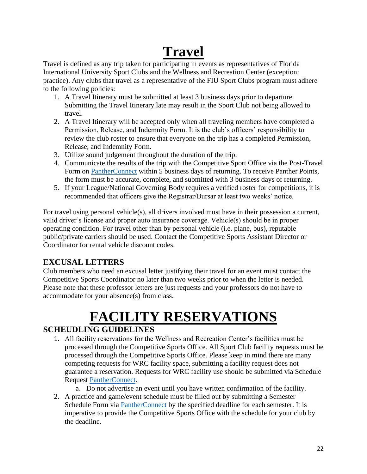# **Travel**

Travel is defined as any trip taken for participating in events as representatives of Florida International University Sport Clubs and the Wellness and Recreation Center (exception: practice). Any clubs that travel as a representative of the FIU Sport Clubs program must adhere to the following policies:

- 1. A Travel Itinerary must be submitted at least 3 business days prior to departure. Submitting the Travel Itinerary late may result in the Sport Club not being allowed to travel.
- 2. A Travel Itinerary will be accepted only when all traveling members have completed a Permission, Release, and Indemnity Form. It is the club's officers' responsibility to review the club roster to ensure that everyone on the trip has a completed Permission, Release, and Indemnity Form.
- 3. Utilize sound judgement throughout the duration of the trip.
- 4. Communicate the results of the trip with the Competitive Sport Office via the Post-Travel Form on [PantherConnect](https://fiu.campuslabs.com/engage/) within 5 business days of returning. To receive Panther Points, the form must be accurate, complete, and submitted with 3 business days of returning.
- 5. If your League/National Governing Body requires a verified roster for competitions, it is recommended that officers give the Registrar/Bursar at least two weeks' notice.

For travel using personal vehicle(s), all drivers involved must have in their possession a current, valid driver's license and proper auto insurance coverage. Vehicle(s) should be in proper operating condition. For travel other than by personal vehicle (i.e. plane, bus), reputable public/private carriers should be used. Contact the Competitive Sports Assistant Director or Coordinator for rental vehicle discount codes.

## **EXCUSAL LETTERS**

Club members who need an excusal letter justifying their travel for an event must contact the Competitive Sports Coordinator no later than two weeks prior to when the letter is needed. Please note that these professor letters are just requests and your professors do not have to accommodate for your absence(s) from class.

# **FACILITY RESERVATIONS**

## **SCHEUDLING GUIDELINES**

- 1. All facility reservations for the Wellness and Recreation Center's facilities must be processed through the Competitive Sports Office. All Sport Club facility requests must be processed through the Competitive Sports Office. Please keep in mind there are many competing requests for WRC facility space, submitting a facility request does not guarantee a reservation. Requests for WRC facility use should be submitted via Schedule Request [PantherConnect.](https://fiu.campuslabs.com/engage/)
	- a. Do not advertise an event until you have written confirmation of the facility.
- 2. A practice and game/event schedule must be filled out by submitting a Semester Schedule Form via [PantherConnect](https://fiu.campuslabs.com/engage/) by the specified deadline for each semester. It is imperative to provide the Competitive Sports Office with the schedule for your club by the deadline.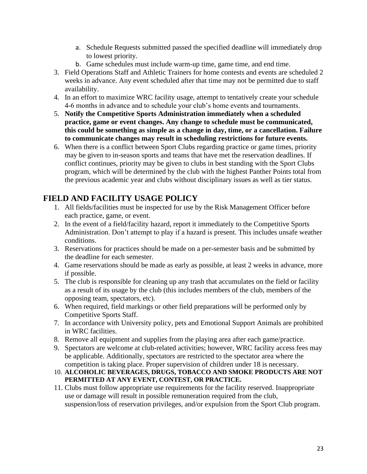- a. Schedule Requests submitted passed the specified deadline will immediately drop to lowest priority.
- b. Game schedules must include warm-up time, game time, and end time.
- 3. Field Operations Staff and Athletic Trainers for home contests and events are scheduled 2 weeks in advance. Any event scheduled after that time may not be permitted due to staff availability.
- 4. In an effort to maximize WRC facility usage, attempt to tentatively create your schedule 4-6 months in advance and to schedule your club's home events and tournaments.
- 5. **Notify the Competitive Sports Administration immediately when a scheduled practice, game or event changes. Any change to schedule must be communicated, this could be something as simple as a change in day, time, or a cancellation. Failure to communicate changes may result in scheduling restrictions for future events.**
- 6. When there is a conflict between Sport Clubs regarding practice or game times, priority may be given to in-season sports and teams that have met the reservation deadlines. If conflict continues, priority may be given to clubs in best standing with the Sport Clubs program, which will be determined by the club with the highest Panther Points total from the previous academic year and clubs without disciplinary issues as well as tier status.

## **FIELD AND FACILITY USAGE POLICY**

- 1. All fields/facilities must be inspected for use by the Risk Management Officer before each practice, game, or event.
- 2. In the event of a field/facility hazard, report it immediately to the Competitive Sports Administration. Don't attempt to play if a hazard is present. This includes unsafe weather conditions.
- 3. Reservations for practices should be made on a per-semester basis and be submitted by the deadline for each semester.
- 4. Game reservations should be made as early as possible, at least 2 weeks in advance, more if possible.
- 5. The club is responsible for cleaning up any trash that accumulates on the field or facility as a result of its usage by the club (this includes members of the club, members of the opposing team, spectators, etc).
- 6. When required, field markings or other field preparations will be performed only by Competitive Sports Staff.
- 7. In accordance with University policy, pets and Emotional Support Animals are prohibited in WRC facilities.
- 8. Remove all equipment and supplies from the playing area after each game/practice.
- 9. Spectators are welcome at club-related activities; however, WRC facility access fees may be applicable. Additionally, spectators are restricted to the spectator area where the competition is taking place. Proper supervision of children under 18 is necessary.
- 10. **ALCOHOLIC BEVERAGES, DRUGS, TOBACCO AND SMOKE PRODUCTS ARE NOT PERMITTED AT ANY EVENT, CONTEST, OR PRACTICE.**
- 11. Clubs must follow appropriate use requirements for the facility reserved. Inappropriate use or damage will result in possible remuneration required from the club, suspension/loss of reservation privileges, and/or expulsion from the Sport Club program.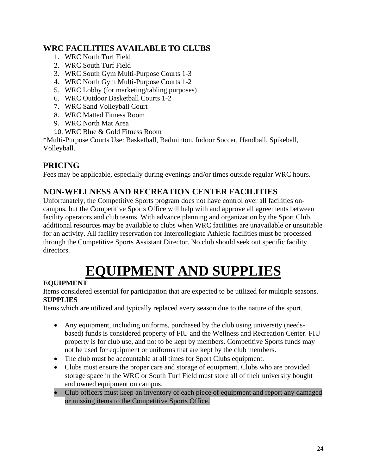## **WRC FACILITIES AVAILABLE TO CLUBS**

- 1. WRC North Turf Field
- 2. WRC South Turf Field
- 3. WRC South Gym Multi-Purpose Courts 1-3
- 4. WRC North Gym Multi-Purpose Courts 1-2
- 5. WRC Lobby (for marketing/tabling purposes)
- 6. WRC Outdoor Basketball Courts 1-2
- 7. WRC Sand Volleyball Court
- 8. WRC Matted Fitness Room
- 9. WRC North Mat Area
- 10. WRC Blue & Gold Fitness Room

\*Multi-Purpose Courts Use: Basketball, Badminton, Indoor Soccer, Handball, Spikeball, Volleyball.

## **PRICING**

Fees may be applicable, especially during evenings and/or times outside regular WRC hours.

## **NON-WELLNESS AND RECREATION CENTER FACILITIES**

Unfortunately, the Competitive Sports program does not have control over all facilities oncampus, but the Competitive Sports Office will help with and approve all agreements between facility operators and club teams. With advance planning and organization by the Sport Club, additional resources may be available to clubs when WRC facilities are unavailable or unsuitable for an activity. All facility reservation for Intercollegiate Athletic facilities must be processed through the Competitive Sports Assistant Director. No club should seek out specific facility directors.

# **EQUIPMENT AND SUPPLIES**

## **EQUIPMENT**

Items considered essential for participation that are expected to be utilized for multiple seasons. **SUPPLIES**

Items which are utilized and typically replaced every season due to the nature of the sport.

- Any equipment, including uniforms, purchased by the club using university (needsbased) funds is considered property of FIU and the Wellness and Recreation Center. FIU property is for club use, and not to be kept by members. Competitive Sports funds may not be used for equipment or uniforms that are kept by the club members.
- The club must be accountable at all times for Sport Clubs equipment.
- Clubs must ensure the proper care and storage of equipment. Clubs who are provided storage space in the WRC or South Turf Field must store all of their university bought and owned equipment on campus.
- Club officers must keep an inventory of each piece of equipment and report any damaged or missing items to the Competitive Sports Office.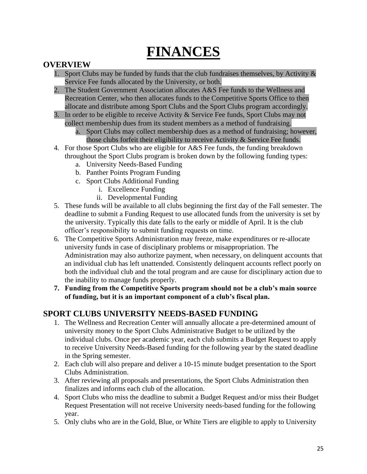## **FINANCES**

## **OVERVIEW**

- 1. Sport Clubs may be funded by funds that the club fundraises themselves, by Activity  $\&$ Service Fee funds allocated by the University, or both.
- 2. The Student Government Association allocates A&S Fee funds to the Wellness and Recreation Center, who then allocates funds to the Competitive Sports Office to then allocate and distribute among Sport Clubs and the Sport Clubs program accordingly.
- 3. In order to be eligible to receive Activity & Service Fee funds, Sport Clubs may not collect membership dues from its student members as a method of fundraising.
	- a. Sport Clubs may collect membership dues as a method of fundraising; however, those clubs forfeit their eligibility to receive Activity & Service Fee funds.
- 4. For those Sport Clubs who are eligible for A&S Fee funds, the funding breakdown throughout the Sport Clubs program is broken down by the following funding types:
	- a. University Needs-Based Funding
	- b. Panther Points Program Funding
	- c. Sport Clubs Additional Funding
		- i. Excellence Funding
		- ii. Developmental Funding
- 5. These funds will be available to all clubs beginning the first day of the Fall semester. The deadline to submit a Funding Request to use allocated funds from the university is set by the university. Typically this date falls to the early or middle of April. It is the club officer's responsibility to submit funding requests on time.
- 6. The Competitive Sports Administration may freeze, make expenditures or re-allocate university funds in case of disciplinary problems or misappropriation. The Administration may also authorize payment, when necessary, on delinquent accounts that an individual club has left unattended. Consistently delinquent accounts reflect poorly on both the individual club and the total program and are cause for disciplinary action due to the inability to manage funds properly.
- **7. Funding from the Competitive Sports program should not be a club's main source of funding, but it is an important component of a club's fiscal plan.**

## **SPORT CLUBS UNIVERSITY NEEDS-BASED FUNDING**

- 1. The Wellness and Recreation Center will annually allocate a pre-determined amount of university money to the Sport Clubs Administrative Budget to be utilized by the individual clubs. Once per academic year, each club submits a Budget Request to apply to receive University Needs-Based funding for the following year by the stated deadline in the Spring semester.
- 2. Each club will also prepare and deliver a 10-15 minute budget presentation to the Sport Clubs Administration.
- 3. After reviewing all proposals and presentations, the Sport Clubs Administration then finalizes and informs each club of the allocation.
- 4. Sport Clubs who miss the deadline to submit a Budget Request and/or miss their Budget Request Presentation will not receive University needs-based funding for the following year.
- 5. Only clubs who are in the Gold, Blue, or White Tiers are eligible to apply to University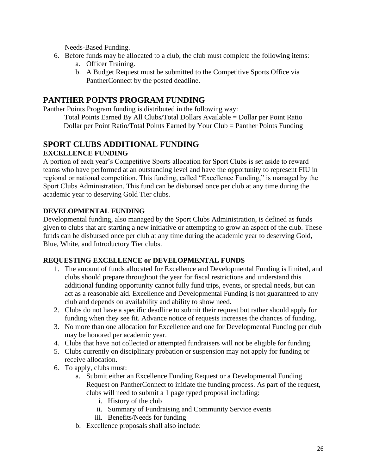Needs-Based Funding.

- 6. Before funds may be allocated to a club, the club must complete the following items:
	- a. Officer Training.
	- b. A Budget Request must be submitted to the Competitive Sports Office via PantherConnect by the posted deadline.

## **PANTHER POINTS PROGRAM FUNDING**

Panther Points Program funding is distributed in the following way:

Total Points Earned By All Clubs/Total Dollars Available = Dollar per Point Ratio Dollar per Point Ratio/Total Points Earned by Your Club = Panther Points Funding

## **SPORT CLUBS ADDITIONAL FUNDING EXCELLENCE FUNDING**

A portion of each year's Competitive Sports allocation for Sport Clubs is set aside to reward teams who have performed at an outstanding level and have the opportunity to represent FIU in regional or national competition. This funding, called "Excellence Funding," is managed by the Sport Clubs Administration. This fund can be disbursed once per club at any time during the academic year to deserving Gold Tier clubs.

## **DEVELOPMENTAL FUNDING**

Developmental funding, also managed by the Sport Clubs Administration, is defined as funds given to clubs that are starting a new initiative or attempting to grow an aspect of the club. These funds can be disbursed once per club at any time during the academic year to deserving Gold, Blue, White, and Introductory Tier clubs.

#### **REQUESTING EXCELLENCE or DEVELOPMENTAL FUNDS**

- 1. The amount of funds allocated for Excellence and Developmental Funding is limited, and clubs should prepare throughout the year for fiscal restrictions and understand this additional funding opportunity cannot fully fund trips, events, or special needs, but can act as a reasonable aid. Excellence and Developmental Funding is not guaranteed to any club and depends on availability and ability to show need.
- 2. Clubs do not have a specific deadline to submit their request but rather should apply for funding when they see fit. Advance notice of requests increases the chances of funding.
- 3. No more than one allocation for Excellence and one for Developmental Funding per club may be honored per academic year.
- 4. Clubs that have not collected or attempted fundraisers will not be eligible for funding.
- 5. Clubs currently on disciplinary probation or suspension may not apply for funding or receive allocation.
- 6. To apply, clubs must:
	- a. Submit either an Excellence Funding Request or a Developmental Funding Request on PantherConnect to initiate the funding process. As part of the request, clubs will need to submit a 1 page typed proposal including:
		- i. History of the club
		- ii. Summary of Fundraising and Community Service events
		- iii. Benefits/Needs for funding
	- b. Excellence proposals shall also include: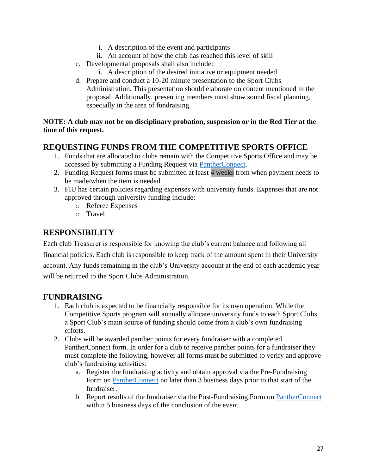- i. A description of the event and participants
- ii. An account of how the club has reached this level of skill
- c. Developmental proposals shall also include:
	- i. A description of the desired initiative or equipment needed
- d. Prepare and conduct a 10-20 minute presentation to the Sport Clubs Administration. This presentation should elaborate on content mentioned in the proposal. Additionally, presenting members must show sound fiscal planning, especially in the area of fundraising.

#### **NOTE: A club may not be on disciplinary probation, suspension or in the Red Tier at the time of this request.**

## **REQUESTING FUNDS FROM THE COMPETITIVE SPORTS OFFICE**

- 1. Funds that are allocated to clubs remain with the Competitive Sports Office and may be accessed by submitting a Funding Request via **PantherConnect**.
- 2. Funding Request forms must be submitted at least 4 weeks from when payment needs to be made/when the item is needed.
- 3. FIU has certain policies regarding expenses with university funds. Expenses that are not approved through university funding include:
	- o Referee Expenses
	- o Travel

## **RESPONSIBILITY**

Each club Treasurer is responsible for knowing the club's current balance and following all financial policies. Each club is responsible to keep track of the amount spent in their University account. Any funds remaining in the club's University account at the end of each academic year will be returned to the Sport Clubs Administration.

## **FUNDRAISING**

- 1. Each club is expected to be financially responsible for its own operation. While the Competitive Sports program will annually allocate university funds to each Sport Clubs, a Sport Club's main source of funding should come from a club's own fundraising efforts.
- 2. Clubs will be awarded panther points for every fundraiser with a completed PantherConnect form. In order for a club to receive panther points for a fundraiser they must complete the following, however all forms must be submitted to verify and approve club's fundraising activities:
	- a. Register the fundraising activity and obtain approval via the Pre-Fundraising Form on [PantherConnect](https://fiu.campuslabs.com/engage/) no later than 3 business days prior to that start of the fundraiser.
	- b. Report results of the fundraiser via the Post-Fundraising Form on [PantherConnect](https://fiu.campuslabs.com/engage/) within 5 business days of the conclusion of the event.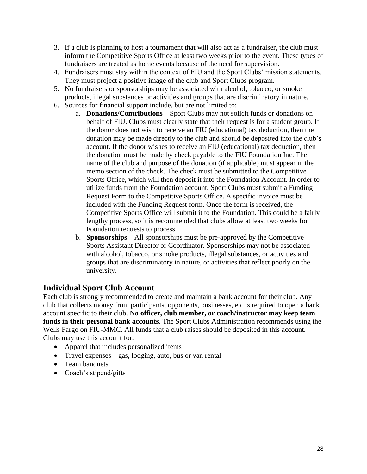- 3. If a club is planning to host a tournament that will also act as a fundraiser, the club must inform the Competitive Sports Office at least two weeks prior to the event. These types of fundraisers are treated as home events because of the need for supervision.
- 4. Fundraisers must stay within the context of FIU and the Sport Clubs' mission statements. They must project a positive image of the club and Sport Clubs program.
- 5. No fundraisers or sponsorships may be associated with alcohol, tobacco, or smoke products, illegal substances or activities and groups that are discriminatory in nature.
- 6. Sources for financial support include, but are not limited to:
	- a. **Donations/Contributions** Sport Clubs may not solicit funds or donations on behalf of FIU. Clubs must clearly state that their request is for a student group. If the donor does not wish to receive an FIU (educational) tax deduction, then the donation may be made directly to the club and should be deposited into the club's account. If the donor wishes to receive an FIU (educational) tax deduction, then the donation must be made by check payable to the FIU Foundation Inc. The name of the club and purpose of the donation (if applicable) must appear in the memo section of the check. The check must be submitted to the Competitive Sports Office, which will then deposit it into the Foundation Account. In order to utilize funds from the Foundation account, Sport Clubs must submit a Funding Request Form to the Competitive Sports Office. A specific invoice must be included with the Funding Request form. Once the form is received, the Competitive Sports Office will submit it to the Foundation. This could be a fairly lengthy process, so it is recommended that clubs allow at least two weeks for Foundation requests to process.
	- b. **Sponsorships** All sponsorships must be pre-approved by the Competitive Sports Assistant Director or Coordinator. Sponsorships may not be associated with alcohol, tobacco, or smoke products, illegal substances, or activities and groups that are discriminatory in nature, or activities that reflect poorly on the university.

## **Individual Sport Club Account**

Each club is strongly recommended to create and maintain a bank account for their club. Any club that collects money from participants, opponents, businesses, etc is required to open a bank account specific to their club. **No officer, club member, or coach/instructor may keep team funds in their personal bank accounts**. The Sport Clubs Administration recommends using the Wells Fargo on FIU-MMC. All funds that a club raises should be deposited in this account. Clubs may use this account for:

- Apparel that includes personalized items
- Travel expenses gas, lodging, auto, bus or van rental
- Team banquets
- Coach's stipend/gifts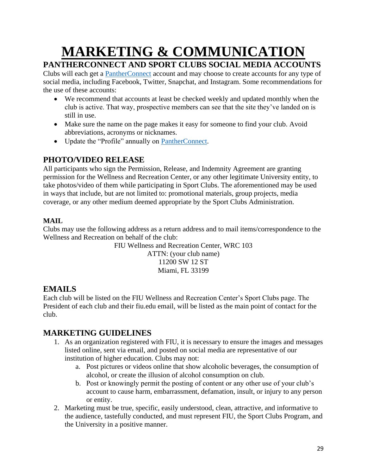# **MARKETING & COMMUNICATION**

## **PANTHERCONNECT AND SPORT CLUBS SOCIAL MEDIA ACCOUNTS**

Clubs will each get a [PantherConnect](https://fiu.campuslabs.com/engage/) account and may choose to create accounts for any type of social media, including Facebook, Twitter, Snapchat, and Instagram. Some recommendations for the use of these accounts:

- We recommend that accounts at least be checked weekly and updated monthly when the club is active. That way, prospective members can see that the site they've landed on is still in use.
- Make sure the name on the page makes it easy for someone to find your club. Avoid abbreviations, acronyms or nicknames.
- Update the "Profile" annually on [PantherConnect.](https://fiu.campuslabs.com/engage/)

## **PHOTO/VIDEO RELEASE**

All participants who sign the Permission, Release, and Indemnity Agreement are granting permission for the Wellness and Recreation Center, or any other legitimate University entity, to take photos/video of them while participating in Sport Clubs. The aforementioned may be used in ways that include, but are not limited to: promotional materials, group projects, media coverage, or any other medium deemed appropriate by the Sport Clubs Administration.

## **MAIL**

Clubs may use the following address as a return address and to mail items/correspondence to the Wellness and Recreation on behalf of the club:

> FIU Wellness and Recreation Center, WRC 103 ATTN: (your club name) 11200 SW 12 ST Miami, FL 33199

## **EMAILS**

Each club will be listed on the FIU Wellness and Recreation Center's Sport Clubs page. The President of each club and their fiu.edu email, will be listed as the main point of contact for the club.

## **MARKETING GUIDELINES**

- 1. As an organization registered with FIU, it is necessary to ensure the images and messages listed online, sent via email, and posted on social media are representative of our institution of higher education. Clubs may not:
	- a. Post pictures or videos online that show alcoholic beverages, the consumption of alcohol, or create the illusion of alcohol consumption on club.
	- b. Post or knowingly permit the posting of content or any other use of your club's account to cause harm, embarrassment, defamation, insult, or injury to any person or entity.
- 2. Marketing must be true, specific, easily understood, clean, attractive, and informative to the audience, tastefully conducted, and must represent FIU, the Sport Clubs Program, and the University in a positive manner.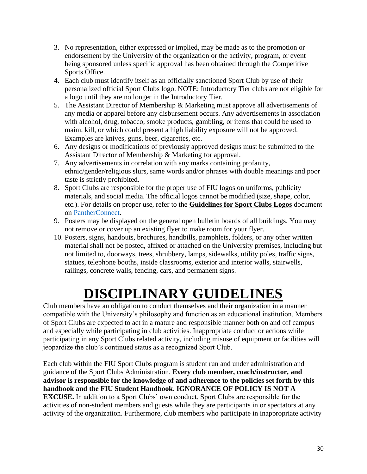- 3. No representation, either expressed or implied, may be made as to the promotion or endorsement by the University of the organization or the activity, program, or event being sponsored unless specific approval has been obtained through the Competitive Sports Office.
- 4. Each club must identify itself as an officially sanctioned Sport Club by use of their personalized official Sport Clubs logo. NOTE: Introductory Tier clubs are not eligible for a logo until they are no longer in the Introductory Tier.
- 5. The Assistant Director of Membership & Marketing must approve all advertisements of any media or apparel before any disbursement occurs. Any advertisements in association with alcohol, drug, tobacco, smoke products, gambling, or items that could be used to maim, kill, or which could present a high liability exposure will not be approved. Examples are knives, guns, beer, cigarettes, etc.
- 6. Any designs or modifications of previously approved designs must be submitted to the Assistant Director of Membership & Marketing for approval.
- 7. Any advertisements in correlation with any marks containing profanity, ethnic/gender/religious slurs, same words and/or phrases with double meanings and poor taste is strictly prohibited.
- 8. Sport Clubs are responsible for the proper use of FIU logos on uniforms, publicity materials, and social media. The official logos cannot be modified (size, shape, color, etc.). For details on proper use, refer to the **Guidelines for Sport Clubs Logos** document on [PantherConnect.](https://fiu.campuslabs.com/engage/)
- 9. Posters may be displayed on the general open bulletin boards of all buildings. You may not remove or cover up an existing flyer to make room for your flyer.
- 10. Posters, signs, handouts, brochures, handbills, pamphlets, folders, or any other written material shall not be posted, affixed or attached on the University premises, including but not limited to, doorways, trees, shrubbery, lamps, sidewalks, utility poles, traffic signs, statues, telephone booths, inside classrooms, exterior and interior walls, stairwells, railings, concrete walls, fencing, cars, and permanent signs.

# **DISCIPLINARY GUIDELINES**

Club members have an obligation to conduct themselves and their organization in a manner compatible with the University's philosophy and function as an educational institution. Members of Sport Clubs are expected to act in a mature and responsible manner both on and off campus and especially while participating in club activities. Inappropriate conduct or actions while participating in any Sport Clubs related activity, including misuse of equipment or facilities will jeopardize the club's continued status as a recognized Sport Club.

Each club within the FIU Sport Clubs program is student run and under administration and guidance of the Sport Clubs Administration. **Every club member, coach/instructor, and advisor is responsible for the knowledge of and adherence to the policies set forth by this handbook and the FIU Student Handbook. IGNORANCE OF POLICY IS NOT A EXCUSE.** In addition to a Sport Clubs' own conduct, Sport Clubs are responsible for the activities of non-student members and guests while they are participants in or spectators at any activity of the organization. Furthermore, club members who participate in inappropriate activity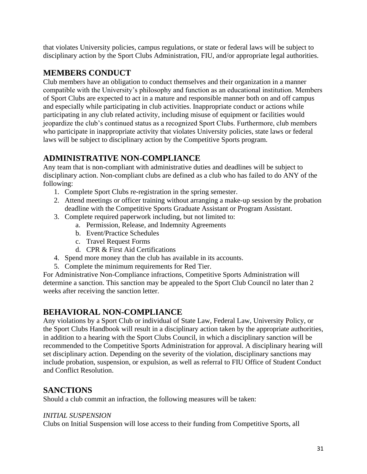that violates University policies, campus regulations, or state or federal laws will be subject to disciplinary action by the Sport Clubs Administration, FIU, and/or appropriate legal authorities.

## **MEMBERS CONDUCT**

Club members have an obligation to conduct themselves and their organization in a manner compatible with the University's philosophy and function as an educational institution. Members of Sport Clubs are expected to act in a mature and responsible manner both on and off campus and especially while participating in club activities. Inappropriate conduct or actions while participating in any club related activity, including misuse of equipment or facilities would jeopardize the club's continued status as a recognized Sport Clubs. Furthermore, club members who participate in inappropriate activity that violates University policies, state laws or federal laws will be subject to disciplinary action by the Competitive Sports program.

## **ADMINISTRATIVE NON-COMPLIANCE**

Any team that is non-compliant with administrative duties and deadlines will be subject to disciplinary action. Non-compliant clubs are defined as a club who has failed to do ANY of the following:

- 1. Complete Sport Clubs re-registration in the spring semester.
- 2. Attend meetings or officer training without arranging a make-up session by the probation deadline with the Competitive Sports Graduate Assistant or Program Assistant.
- 3. Complete required paperwork including, but not limited to:
	- a. Permission, Release, and Indemnity Agreements
		- b. Event/Practice Schedules
		- c. Travel Request Forms
		- d. CPR & First Aid Certifications
- 4. Spend more money than the club has available in its accounts.
- 5. Complete the minimum requirements for Red Tier.

For Administrative Non-Compliance infractions, Competitive Sports Administration will determine a sanction. This sanction may be appealed to the Sport Club Council no later than 2 weeks after receiving the sanction letter.

## **BEHAVIORAL NON-COMPLIANCE**

Any violations by a Sport Club or individual of State Law, Federal Law, University Policy, or the Sport Clubs Handbook will result in a disciplinary action taken by the appropriate authorities, in addition to a hearing with the Sport Clubs Council, in which a disciplinary sanction will be recommended to the Competitive Sports Administration for approval. A disciplinary hearing will set disciplinary action. Depending on the severity of the violation, disciplinary sanctions may include probation, suspension, or expulsion, as well as referral to FIU Office of Student Conduct and Conflict Resolution.

## **SANCTIONS**

Should a club commit an infraction, the following measures will be taken:

#### *INITIAL SUSPENSION*

Clubs on Initial Suspension will lose access to their funding from Competitive Sports, all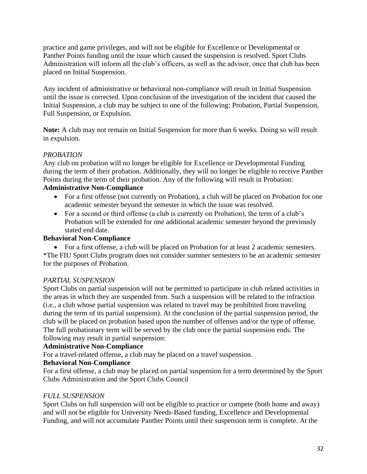practice and game privileges, and will not be eligible for Excellence or Developmental or Panther Points funding until the issue which caused the suspension is resolved. Sport Clubs Administration will inform all the club's officers, as well as the advisor, once that club has been placed on Initial Suspension.

Any incident of administrative or behavioral non-compliance will result in Initial Suspension until the issue is corrected. Upon conclusion of the investigation of the incident that caused the Initial Suspension, a club may be subject to one of the following: Probation, Partial Suspension, Full Suspension, or Expulsion.

**Note:** A club may not remain on Initial Suspension for more than 6 weeks. Doing so will result in expulsion.

## *PROBATION*

Any club on probation will no longer be eligible for Excellence or Developmental Funding during the term of their probation. Additionally, they will no longer be eligible to receive Panther Points during the term of their probation. Any of the following will result in Probation:

#### **Administrative Non-Compliance**

- For a first offense (not currently on Probation), a club will be placed on Probation for one academic semester beyond the semester in which the issue was resolved.
- For a second or third offense (a club is currently on Probation), the term of a club's Probation will be extended for one additional academic semester beyond the previously stated end date.

#### **Behavioral Non-Compliance**

• For a first offense, a club will be placed on Probation for at least 2 academic semesters.

\*The FIU Sport Clubs program does not consider summer semesters to be an academic semester for the purposes of Probation.

#### *PARTIAL SUSPENSION*

Sport Clubs on partial suspension will not be permitted to participate in club related activities in the areas in which they are suspended from. Such a suspension will be related to the infraction (i.e., a club whose partial suspension was related to travel may be prohibited from traveling during the term of its partial suspension). At the conclusion of the partial suspension period, the club will be placed on probation based upon the number of offenses and/or the type of offense. The full probationary term will be served by the club once the partial suspension ends. The following may result in partial suspension:

#### **Administrative Non-Compliance**

For a travel-related offense, a club may be placed on a travel suspension.

## **Behavioral Non-Compliance**

For a first offense, a club may be placed on partial suspension for a term determined by the Sport Clubs Administration and the Sport Clubs Council

#### *FULL SUSPENSION*

Sport Clubs on full suspension will not be eligible to practice or compete (both home and away) and will not be eligible for University Needs-Based funding, Excellence and Developmental Funding, and will not accumulate Panther Points until their suspension term is complete. At the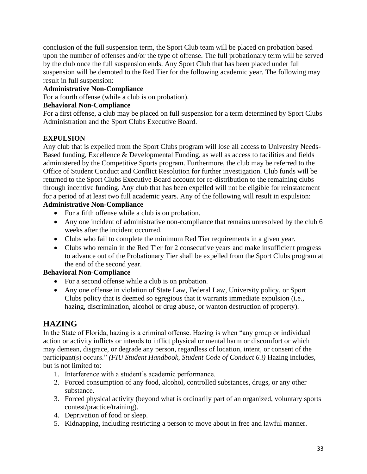conclusion of the full suspension term, the Sport Club team will be placed on probation based upon the number of offenses and/or the type of offense. The full probationary term will be served by the club once the full suspension ends. Any Sport Club that has been placed under full suspension will be demoted to the Red Tier for the following academic year. The following may result in full suspension:

#### **Administrative Non-Compliance**

For a fourth offense (while a club is on probation).

#### **Behavioral Non-Compliance**

For a first offense, a club may be placed on full suspension for a term determined by Sport Clubs Administration and the Sport Clubs Executive Board.

## **EXPULSION**

Any club that is expelled from the Sport Clubs program will lose all access to University Needs-Based funding, Excellence & Developmental Funding, as well as access to facilities and fields administered by the Competitive Sports program. Furthermore, the club may be referred to the Office of Student Conduct and Conflict Resolution for further investigation. Club funds will be returned to the Sport Clubs Executive Board account for re-distribution to the remaining clubs through incentive funding. Any club that has been expelled will not be eligible for reinstatement for a period of at least two full academic years. Any of the following will result in expulsion:

## **Administrative Non-Compliance**

- For a fifth offense while a club is on probation.
- Any one incident of administrative non-compliance that remains unresolved by the club 6 weeks after the incident occurred.
- Clubs who fail to complete the minimum Red Tier requirements in a given year.
- Clubs who remain in the Red Tier for 2 consecutive years and make insufficient progress to advance out of the Probationary Tier shall be expelled from the Sport Clubs program at the end of the second year.

## **Behavioral Non-Compliance**

- For a second offense while a club is on probation.
- Any one offense in violation of State Law, Federal Law, University policy, or Sport Clubs policy that is deemed so egregious that it warrants immediate expulsion (i.e., hazing, discrimination, alcohol or drug abuse, or wanton destruction of property).

## **HAZING**

In the State of Florida, hazing is a criminal offense. Hazing is when "any group or individual action or activity inflicts or intends to inflict physical or mental harm or discomfort or which may demean, disgrace, or degrade any person, regardless of location, intent, or consent of the participant(s) occurs." *(FIU Student Handbook, Student Code of Conduct 6.i)* Hazing includes, but is not limited to:

- 1. Interference with a student's academic performance.
- 2. Forced consumption of any food, alcohol, controlled substances, drugs, or any other substance.
- 3. Forced physical activity (beyond what is ordinarily part of an organized, voluntary sports contest/practice/training).
- 4. Deprivation of food or sleep.
- 5. Kidnapping, including restricting a person to move about in free and lawful manner.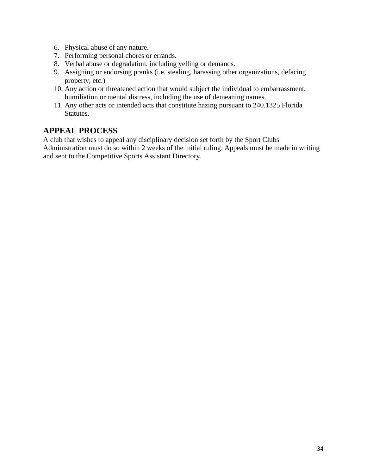- 6. Physical abuse of any nature.
- 7. Performing personal chores or errands.
- 8. Verbal abuse or degradation, including yelling or demands.
- 9. Assigning or endorsing pranks (i.e. stealing, harassing other organizations, defacing property, etc.)
- 10. Any action or threatened action that would subject the individual to embarrassment, humiliation or mental distress, including the use of demeaning names.
- 11. Any other acts or intended acts that constitute hazing pursuant to 240.1325 Florida Statutes.

## **APPEAL PROCESS**

A club that wishes to appeal any disciplinary decision set forth by the Sport Clubs Administration must do so within 2 weeks of the initial ruling. Appeals must be made in writing and sent to the Competitive Sports Assistant Directory.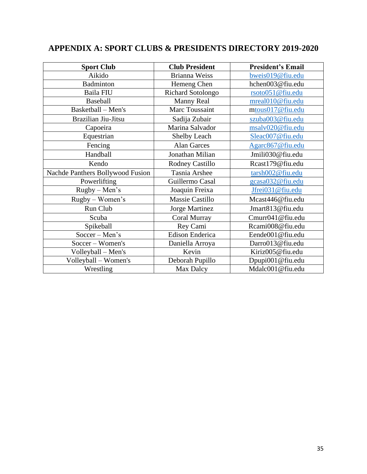## **APPENDIX A: SPORT CLUBS & PRESIDENTS DIRECTORY 2019-2020**

| <b>Sport Club</b>                | <b>Club President</b>  | <b>President's Email</b> |
|----------------------------------|------------------------|--------------------------|
| Aikido                           | <b>Brianna Weiss</b>   | bweis019@fiu.edu         |
| Badminton                        | Hemeng Chen            | hchen003@fiu.edu         |
| <b>Baila FIU</b>                 | Richard Sotolongo      | rsoto051@fiu.edu         |
| <b>Baseball</b>                  | <b>Manny Real</b>      | mreal010@fiu.edu         |
| Basketball - Men's               | Marc Toussaint         | mtous017@fiu.edu         |
| Brazilian Jiu-Jitsu              | Sadija Zubair          | szuba003@fiu.edu         |
| Capoeira                         | Marina Salvador        | msalv020@fiu.edu         |
| Equestrian                       | <b>Shelby Leach</b>    | Sleac007@fiu.edu         |
| Fencing                          | <b>Alan Garces</b>     | Agarc867@fiu.edu         |
| Handball                         | Jonathan Milian        | Jmili030@fiu.edu         |
| Kendo                            | <b>Rodney Castillo</b> | Rcast179@fiu.edu         |
| Nachde Panthers Bollywood Fusion | Tasnia Arshee          | tarsh002@fiu.edu         |
| Powerlifting                     | Guillermo Casal        | gcasa032@fiu.edu         |
| Rugby - Men's                    | Joaquin Freixa         | Jfrei031@fiu.edu         |
| Rugby - Women's                  | Massie Castillo        | Mcast446@fiu.edu         |
| Run Club                         | Jorge Martinez         | Jmart813@fiu.edu         |
| Scuba                            | Coral Murray           | Cmurr041@fiu.edu         |
| Spikeball                        | Rey Cami               | Rcami008@fiu.edu         |
| Soccer - Men's                   | <b>Edison Enderica</b> | Eende001@fiu.edu         |
| Soccer - Women's                 | Daniella Arroya        | Darro013@fiu.edu         |
| Volleyball - Men's               | Kevin                  | Kiriz005@fiu.edu         |
| Volleyball – Women's             | Deborah Pupillo        | Dpupi001@fiu.edu         |
| Wrestling                        | Max Dalcy              | Mdalc001@fiu.edu         |